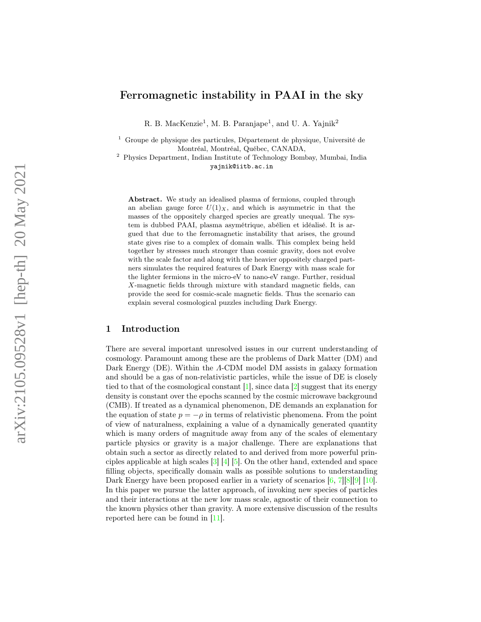# Ferromagnetic instability in PAAI in the sky

R. B. MacKenzie<sup>1</sup>, M. B. Paranjape<sup>1</sup>, and U. A. Yajnik<sup>2</sup>

<sup>1</sup> Groupe de physique des particules, Département de physique, Université de Montréal, Montréal, Québec, CANADA,

<sup>2</sup> Physics Department, Indian Institute of Technology Bombay, Mumbai, India yajnik@iitb.ac.in

Abstract. We study an idealised plasma of fermions, coupled through an abelian gauge force  $U(1)_X$ , and which is asymmetric in that the masses of the oppositely charged species are greatly unequal. The system is dubbed PAAI, plasma asymétrique, abélien et idéalisé. It is argued that due to the ferromagnetic instability that arises, the ground state gives rise to a complex of domain walls. This complex being held together by stresses much stronger than cosmic gravity, does not evolve with the scale factor and along with the heavier oppositely charged partners simulates the required features of Dark Energy with mass scale for the lighter fermions in the micro-eV to nano-eV range. Further, residual X-magnetic fields through mixture with standard magnetic fields, can provide the seed for cosmic-scale magnetic fields. Thus the scenario can explain several cosmological puzzles including Dark Energy.

### 1 Introduction

There are several important unresolved issues in our current understanding of cosmology. Paramount among these are the problems of Dark Matter (DM) and Dark Energy (DE). Within the Λ-CDM model DM assists in galaxy formation and should be a gas of non-relativistic particles, while the issue of DE is closely tied to that of the cosmological constant [ [1\]](#page-7-0), since data [ [2\]](#page-7-1) suggest that its energy density is constant over the epochs scanned by the cosmic microwave background (CMB). If treated as a dynamical phenomenon, DE demands an explanation for the equation of state  $p = -\rho$  in terms of relativistic phenomena. From the point of view of naturalness, explaining a value of a dynamically generated quantity which is many orders of magnitude away from any of the scales of elementary particle physics or gravity is a major challenge. There are explanations that obtain such a sector as directly related to and derived from more powerful principles applicable at high scales  $\boxed{3}$   $\boxed{4}$   $\boxed{5}$ . On the other hand, extended and space filling objects, specifically domain walls as possible solutions to understanding Dark Energy have been proposed earlier in a variety of scenarios  $[6, 7][8][9][10]$  $[6, 7][8][9][10]$  $[6, 7][8][9][10]$  $[6, 7][8][9][10]$  $[6, 7][8][9][10]$  $[6, 7][8][9][10]$  $[6, 7][8][9][10]$  $[6, 7][8][9][10]$  $[6, 7][8][9][10]$ . In this paper we pursue the latter approach, of invoking new species of particles and their interactions at the new low mass scale, agnostic of their connection to the known physics other than gravity. A more extensive discussion of the results reported here can be found in [\[11\]](#page-7-10).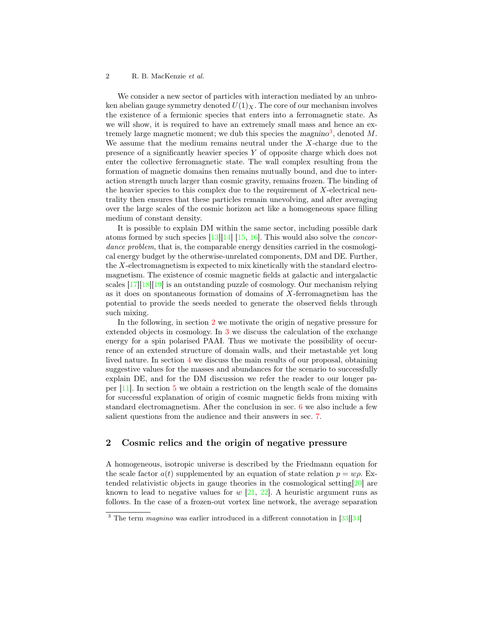#### 2 R. B. MacKenzie et al.

We consider a new sector of particles with interaction mediated by an unbroken abelian gauge symmetry denoted  $U(1)_X$ . The core of our mechanism involves the existence of a fermionic species that enters into a ferromagnetic state. As we will show, it is required to have an extremely small mass and hence an ex-tremely large magnetic moment; we dub this species the magnino<sup>[3](#page-1-0)</sup>, denoted M. We assume that the medium remains neutral under the  $X$ -charge due to the presence of a significantly heavier species Y of opposite charge which does not enter the collective ferromagnetic state. The wall complex resulting from the formation of magnetic domains then remains mutually bound, and due to interaction strength much larger than cosmic gravity, remains frozen. The binding of the heavier species to this complex due to the requirement of  $X$ -electrical neutrality then ensures that these particles remain unevolving, and after averaging over the large scales of the cosmic horizon act like a homogeneous space filling medium of constant density.

It is possible to explain DM within the same sector, including possible dark atoms formed by such species  $[13][14]$  $[13][14]$   $[15, 16]$  $[15, 16]$  $[15, 16]$ . This would also solve the *concor*dance problem, that is, the comparable energy densities carried in the cosmological energy budget by the otherwise-unrelated components, DM and DE. Further, the X-electromagnetism is expected to mix kinetically with the standard electromagnetism. The existence of cosmic magnetic fields at galactic and intergalactic scales [\[17\]](#page-7-15)[\[18\]](#page-7-16)[\[19\]](#page-7-17) is an outstanding puzzle of cosmology. Our mechanism relying as it does on spontaneous formation of domains of X-ferromagnetism has the potential to provide the seeds needed to generate the observed fields through such mixing.

In the following, in section [2](#page-1-1) we motivate the origin of negative pressure for extended objects in cosmology. In [3](#page-2-0) we discuss the calculation of the exchange energy for a spin polarised PAAI. Thus we motivate the possibility of occurrence of an extended structure of domain walls, and their metastable yet long lived nature. In section [4](#page-4-0) we discuss the main results of our proposal, obtaining suggestive values for the masses and abundances for the scenario to successfully explain DE, and for the DM discussion we refer the reader to our longer paper [\[11\]](#page-7-10). In section [5](#page-5-0) we obtain a restriction on the length scale of the domains for successful explanation of origin of cosmic magnetic fields from mixing with standard electromagnetism. After the conclusion in sec. [6](#page-5-1) we also include a few salient questions from the audience and their answers in sec. [7.](#page-6-0)

#### <span id="page-1-1"></span>2 Cosmic relics and the origin of negative pressure

A homogeneous, isotropic universe is described by the Friedmann equation for the scale factor  $a(t)$  supplemented by an equation of state relation  $p = w\rho$ . Extended relativistic objects in gauge theories in the cosmological setting[\[20\]](#page-7-18) are known to lead to negative values for  $w$  [\[21,](#page-7-19) [22\]](#page-7-20). A heuristic argument runs as follows. In the case of a frozen-out vortex line network, the average separation

<span id="page-1-0"></span> $3$  The term *magnino* was earlier introduced in a different connotation in [\[33\]](#page-8-0)[\[34\]](#page-8-1)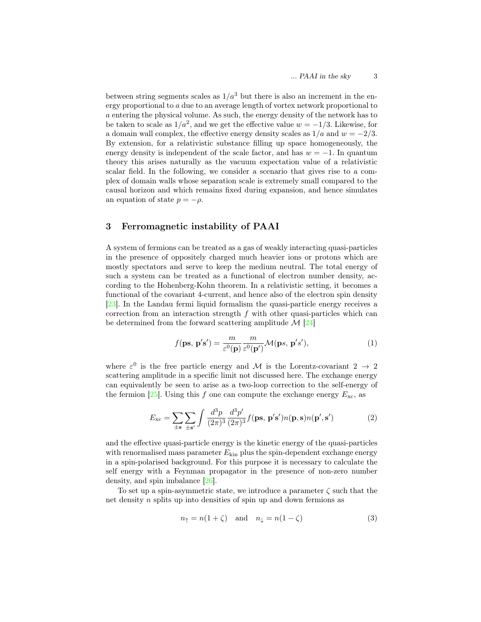between string segments scales as  $1/a<sup>3</sup>$  but there is also an increment in the energy proportional to a due to an average length of vortex network proportional to a entering the physical volume. As such, the energy density of the network has to be taken to scale as  $1/a^2$ , and we get the effective value  $w = -1/3$ . Likewise, for a domain wall complex, the effective energy density scales as  $1/a$  and  $w = -2/3$ . By extension, for a relativistic substance filling up space homogeneously, the energy density is independent of the scale factor, and has  $w = -1$ . In quantum theory this arises naturally as the vacuum expectation value of a relativistic scalar field. In the following, we consider a scenario that gives rise to a complex of domain walls whose separation scale is extremely small compared to the causal horizon and which remains fixed during expansion, and hence simulates an equation of state  $p = -\rho$ .

### <span id="page-2-0"></span>3 Ferromagnetic instability of PAAI

A system of fermions can be treated as a gas of weakly interacting quasi-particles in the presence of oppositely charged much heavier ions or protons which are mostly spectators and serve to keep the medium neutral. The total energy of such a system can be treated as a functional of electron number density, according to the Hohenberg-Kohn theorem. In a relativistic setting, it becomes a functional of the covariant 4-current, and hence also of the electron spin density [\[23\]](#page-7-21). In the Landau fermi liquid formalism the quasi-particle energy receives a correction from an interaction strength  $f$  with other quasi-particles which can be determined from the forward scattering amplitude  $\mathcal{M}$  [\[24\]](#page-7-22)

$$
f(\mathbf{ps}, \mathbf{p}'\mathbf{s}') = \frac{m}{\varepsilon^0(\mathbf{p})} \frac{m}{\varepsilon^0(\mathbf{p}')} \mathcal{M}(\mathbf{ps}, \mathbf{p}'\mathbf{s}'),\tag{1}
$$

where  $\varepsilon^0$  is the free particle energy and M is the Lorentz-covariant  $2 \rightarrow 2$ scattering amplitude in a specific limit not discussed here. The exchange energy can equivalently be seen to arise as a two-loop correction to the self-energy of the fermion [\[25\]](#page-7-23). Using this f one can compute the exchange energy  $E_{\rm xc}$ , as

$$
E_{\rm xc} = \sum_{\pm \mathbf{s}} \sum_{\pm \mathbf{s}'} \int \frac{d^3 p}{(2\pi)^3} \frac{d^3 p'}{(2\pi)^3} f(\mathbf{ps}, \mathbf{p'}\mathbf{s'}) n(\mathbf{p}, \mathbf{s}) n(\mathbf{p'}, \mathbf{s'}) \tag{2}
$$

and the effective quasi-particle energy is the kinetic energy of the quasi-particles with renormalised mass parameter  $E_{\text{kin}}$  plus the spin-dependent exchange energy in a spin-polarised background. For this purpose it is necessary to calculate the self energy with a Feynman propagator in the presence of non-zero number density, and spin imbalance [\[26\]](#page-7-24).

To set up a spin-asymmetric state, we introduce a parameter  $\zeta$  such that the net density n splits up into densities of spin up and down fermions as

$$
n_{\uparrow} = n(1+\zeta) \quad \text{and} \quad n_{\downarrow} = n(1-\zeta) \tag{3}
$$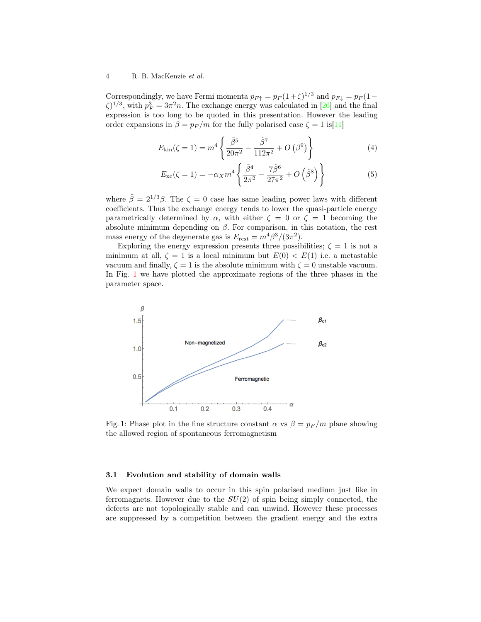#### 4 R. B. MacKenzie et al.

Correspondingly, we have Fermi momenta  $p_{F\uparrow} = p_F (1+\zeta)^{1/3}$  and  $p_{F\downarrow} = p_F (1-\zeta)^{1/3}$  $\zeta$ <sup>1/3</sup>, with  $p_F^3 = 3\pi^2 n$ . The exchange energy was calculated in [\[26\]](#page-7-24) and the final expression is too long to be quoted in this presentation. However the leading order expansions in  $\beta = p_F/m$  for the fully polarised case  $\zeta = 1$  is[\[11\]](#page-7-10)

$$
E_{\rm kin}(\zeta = 1) = m^4 \left\{ \frac{\tilde{\beta}^5}{20\pi^2} - \frac{\tilde{\beta}^7}{112\pi^2} + O\left(\beta^9\right) \right\} \tag{4}
$$

$$
E_{\rm xc}(\zeta=1) = -\alpha_X m^4 \left\{ \frac{\tilde{\beta}^4}{2\pi^2} - \frac{7\tilde{\beta}^6}{27\pi^2} + O\left(\tilde{\beta}^8\right) \right\} \tag{5}
$$

where  $\tilde{\beta} = 2^{1/3}\beta$ . The  $\zeta = 0$  case has same leading power laws with different coefficients. Thus the exchange energy tends to lower the quasi-particle energy parametrically determined by  $\alpha$ , with either  $\zeta = 0$  or  $\zeta = 1$  becoming the absolute minimum depending on  $\beta$ . For comparison, in this notation, the rest mass energy of the degenerate gas is  $E_{\text{rest}} = m^4 \beta^3 / (3\pi^2)$ .

Exploring the energy expression presents three possibilities;  $\zeta = 1$  is not a minimum at all,  $\zeta = 1$  is a local minimum but  $E(0) < E(1)$  i.e. a metastable vacuum and finally,  $\zeta = 1$  is the absolute minimum with  $\zeta = 0$  unstable vacuum. In Fig. [1](#page-3-0) we have plotted the approximate regions of the three phases in the parameter space.

<span id="page-3-0"></span>

Fig. 1: Phase plot in the fine structure constant  $\alpha$  vs  $\beta = p_F/m$  plane showing the allowed region of spontaneous ferromagnetism

#### 3.1 Evolution and stability of domain walls

We expect domain walls to occur in this spin polarised medium just like in ferromagnets. However due to the  $SU(2)$  of spin being simply connected, the defects are not topologically stable and can unwind. However these processes are suppressed by a competition between the gradient energy and the extra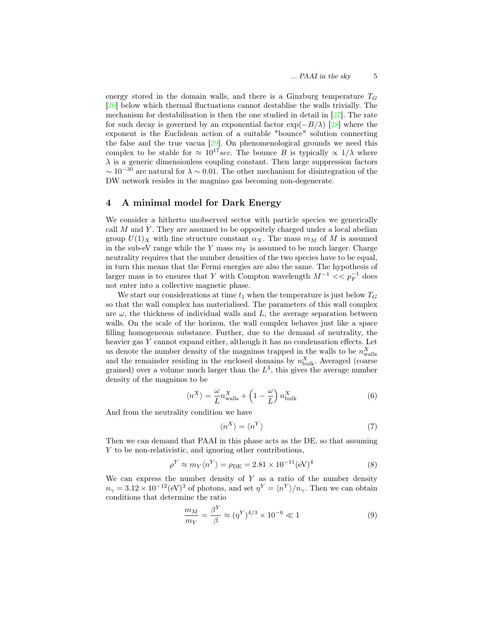energy stored in the domain walls, and there is a Ginzburg temperature  $T_G$ [\[20\]](#page-7-18) below which thermal fluctuations cannot destablise the walls trivially. The mechanism for destabilisation is then the one studied in detail in [\[27\]](#page-7-25). The rate for such decay is governed by an exponential factor  $\exp(-B/\lambda)$  [\[28\]](#page-8-2) where the exponent is the Euclidean action of a suitable "bounce" solution connecting the false and the true vacua [\[29\]](#page-8-3). On phenomenological grounds we need this complex to be stable for  $\approx 10^{17}$  sec. The bounce B is typically  $\propto 1/\lambda$  where  $\lambda$  is a generic dimensionless coupling constant. Then large suppression factors  $\sim 10^{-30}$  are natural for  $\lambda \sim 0.01$ . The other mechanism for disintegration of the DW network resides in the magnino gas becoming non-degenerate.

### <span id="page-4-0"></span>4 A minimal model for Dark Energy

We consider a hitherto unobserved sector with particle species we generically call  $M$  and  $Y$ . They are assumed to be oppositely charged under a local abelian group  $U(1)_X$  with fine structure constant  $\alpha_X$ . The mass  $m_M$  of M is assumed in the sub-eV range while the Y mass  $m<sub>Y</sub>$  is assumed to be much larger. Charge neutrality requires that the number densities of the two species have to be equal, in turn this means that the Fermi energies are also the same. The hypothesis of larger mass is to ensures that Y with Compton wavelength  $M^{-1} << p_F^{-1}$  does not enter into a collective magnetic phase.

We start our considerations at time  $t_1$  when the temperature is just below  $T_G$ so that the wall complex has materialised. The parameters of this wall complex are  $\omega$ , the thickness of individual walls and  $L$ , the average separation between walls. On the scale of the horizon, the wall complex behaves just like a space filling homogeneous substance. Further, due to the demand of neutrality, the heavier gas Y cannot expand either, although it has no condensation effects. Let us denote the number density of the magninos trapped in the walls to be  $n_{\text{walls}}^X$ and the remainder residing in the enclosed domains by  $n_{\text{bulk}}^X$ . Averaged (coarse grained) over a volume much larger than the  $L^3$ , this gives the average number density of the magninos to be

$$
\langle n^X \rangle = \frac{\omega}{L} n_{\text{walls}}^X + \left( 1 - \frac{\omega}{L} \right) n_{\text{bulk}}^X \tag{6}
$$

And from the neutrality condition we have

$$
\langle n^X \rangle = \langle n^Y \rangle \tag{7}
$$

Then we can demand that PAAI in this phase acts as the DE, so that assuming Y to be non-relativistic, and ignoring other contributions,

$$
\rho^Y \approx m_Y \langle n^Y \rangle = \rho_{\rm DE} = 2.81 \times 10^{-11} \text{(eV)}^4 \tag{8}
$$

We can express the number density of  $Y$  as a ratio of the number density  $n_{\gamma} = 3.12 \times 10^{-12} \text{(eV)}^3$  of photons, and set  $\eta^Y = \langle n^Y \rangle / n_{\gamma}$ . Then we can obtain conditions that determine the ratio

$$
\frac{m_M}{m_Y} = \frac{\beta^Y}{\beta} \approx (\eta^Y)^{4/3} \times 10^{-6} \ll 1
$$
\n(9)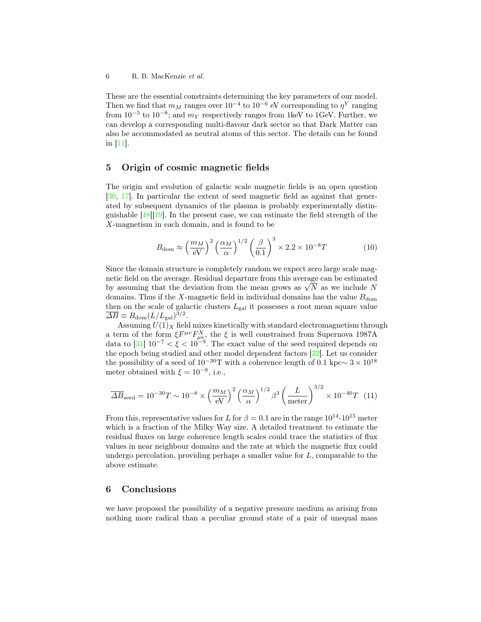These are the essential constraints determining the key parameters of our model. Then we find that  $m_M$  ranges over  $10^{-4}$  to  $10^{-6}$  eV corresponding to  $\eta^Y$  ranging from  $10^{-5}$  to  $10^{-8}$ ; and  $m<sub>Y</sub>$  respectively ranges from 1keV to 1GeV. Further, we can develop a corresponding multi-flavour dark sector so that Dark Matter can also be accommodated as neutral atoms of this sector. The details can be found in [\[11\]](#page-7-10).

## <span id="page-5-0"></span>5 Origin of cosmic magnetic fields

The origin and evolution of galactic scale magnetic fields is an open question [\[30,](#page-8-4) [17\]](#page-7-15). In particular the extent of seed magnetic field as against that generated by subsequent dynamics of the plasma is probably experimentally distinguishable  $[18][19]$  $[18][19]$ . In the present case, we can estimate the field strength of the X-magnetism in each domain, and is found to be

$$
B_{\text{dom}} \approx \left(\frac{m_M}{\text{eV}}\right)^2 \left(\frac{\alpha_M}{\alpha}\right)^{1/2} \left(\frac{\beta}{0.1}\right)^3 \times 2.2 \times 10^{-8} T \tag{10}
$$

Since the domain structure is completely random we expect zero large scale magnetic field on the average. Residual departure from this average can be estimated netic neid on the average. Residual departure from this average can be estimated<br>by assuming that the deviation from the mean grows as  $\sqrt{N}$  as we include N domains. Thus if the X-magnetic field in individual domains has the value  $B_{\text{dom}}$ then on the scale of galactic clusters  $L_{gal}$  it possesses a root mean square value  $\overline{\Delta B} \equiv B_{\text{dom}} (L/L_{\text{gal}})^{3/2}.$ 

Assuming  $U(1)_X$  field mixes kinetically with standard electromagnetism through a term of the form  $\xi F^{\mu\nu} F_{\mu\nu}^X$ , the  $\xi$  is well constrained from Supernova 1987A data to  $[31]$   $10^{-7} < \xi < 10^{-9}$ . The exact value of the seed required depends on the epoch being studied and other model dependent factors [\[32\]](#page-8-6). Let us consider the possibility of a seed of 10<sup>-30</sup>T with a coherence length of 0.1 kpc $\sim 3 \times 10^{18}$ meter obtained with  $\xi = 10^{-8}$ , i.e.,

$$
\overline{\Delta B}_{\text{seed}} = 10^{-30} T \sim 10^{-8} \times \left(\frac{m_M}{\text{eV}}\right)^2 \left(\frac{\alpha_M}{\alpha}\right)^{1/2} \beta^3 \left(\frac{L}{\text{meter}}\right)^{3/2} \times 10^{-40} T \tag{11}
$$

From this, representative values for L for  $\beta = 0.1$  are in the range  $10^{14}$ - $10^{15}$  meter which is a fraction of the Milky Way size. A detailed treatment to estimate the residual fluxes on large coherence length scales could trace the statistics of flux values in near neighbour domains and the rate at which the magnetic flux could undergo percolation, providing perhaps a smaller value for  $L$ , comparable to the above estimate.

#### <span id="page-5-1"></span>6 Conclusions

we have proposed the possibility of a negative pressure medium as arising from nothing more radical than a peculiar ground state of a pair of unequal mass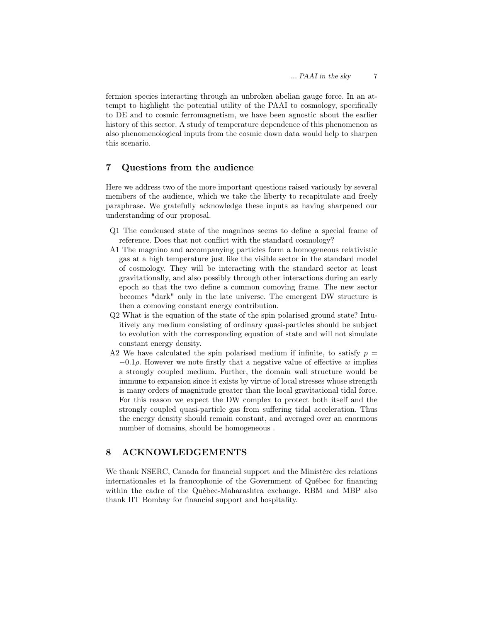fermion species interacting through an unbroken abelian gauge force. In an attempt to highlight the potential utility of the PAAI to cosmology, specifically to DE and to cosmic ferromagnetism, we have been agnostic about the earlier history of this sector. A study of temperature dependence of this phenomenon as also phenomenological inputs from the cosmic dawn data would help to sharpen this scenario.

## <span id="page-6-0"></span>7 Questions from the audience

Here we address two of the more important questions raised variously by several members of the audience, which we take the liberty to recapitulate and freely paraphrase. We gratefully acknowledge these inputs as having sharpened our understanding of our proposal.

- Q1 The condensed state of the magninos seems to define a special frame of reference. Does that not conflict with the standard cosmology?
- A1 The magnino and accompanying particles form a homogeneous relativistic gas at a high temperature just like the visible sector in the standard model of cosmology. They will be interacting with the standard sector at least gravitationally, and also possibly through other interactions during an early epoch so that the two define a common comoving frame. The new sector becomes "dark" only in the late universe. The emergent DW structure is then a comoving constant energy contribution.
- Q2 What is the equation of the state of the spin polarised ground state? Intuitively any medium consisting of ordinary quasi-particles should be subject to evolution with the corresponding equation of state and will not simulate constant energy density.
- A2 We have calculated the spin polarised medium if infinite, to satisfy  $p =$  $-0.1\rho$ . However we note firstly that a negative value of effective w implies a strongly coupled medium. Further, the domain wall structure would be immune to expansion since it exists by virtue of local stresses whose strength is many orders of magnitude greater than the local gravitational tidal force. For this reason we expect the DW complex to protect both itself and the strongly coupled quasi-particle gas from suffering tidal acceleration. Thus the energy density should remain constant, and averaged over an enormous number of domains, should be homogeneous .

### 8 ACKNOWLEDGEMENTS

We thank NSERC, Canada for financial support and the Ministère des relations internationales et la francophonie of the Government of Québec for financing within the cadre of the Québec-Maharashtra exchange. RBM and MBP also thank IIT Bombay for financial support and hospitality.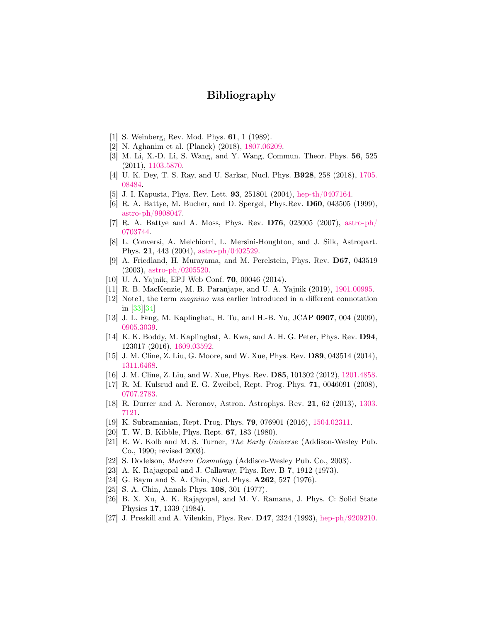# Bibliography

- <span id="page-7-0"></span>[1] S. Weinberg, Rev. Mod. Phys. 61, 1 (1989).
- <span id="page-7-1"></span>[2] N. Aghanim et al. (Planck) (2018), [1807.06209.](1807.06209)
- <span id="page-7-2"></span>[3] M. Li, X.-D. Li, S. Wang, and Y. Wang, Commun. Theor. Phys. 56, 525 (2011), [1103.5870.](1103.5870)
- <span id="page-7-3"></span>[4] U. K. Dey, T. S. Ray, and U. Sarkar, Nucl. Phys. B928, 258 (2018), [1705.](1705.08484) [08484.](1705.08484)
- <span id="page-7-4"></span>[5] J. I. Kapusta, Phys. Rev. Lett. 93, 251801 (2004), [hep-th/0407164.](hep-th/0407164)
- <span id="page-7-5"></span>[6] R. A. Battye, M. Bucher, and D. Spergel, Phys.Rev. D60, 043505 (1999), [astro-ph/9908047.](astro-ph/9908047)
- <span id="page-7-6"></span>[7] R. A. Battye and A. Moss, Phys. Rev. D76, 023005 (2007), [astro-ph/](astro-ph/0703744) [0703744.](astro-ph/0703744)
- <span id="page-7-7"></span>[8] L. Conversi, A. Melchiorri, L. Mersini-Houghton, and J. Silk, Astropart. Phys. 21, 443 (2004), [astro-ph/0402529.](astro-ph/0402529)
- <span id="page-7-8"></span>[9] A. Friedland, H. Murayama, and M. Perelstein, Phys. Rev. D67, 043519 (2003), [astro-ph/0205520.](astro-ph/0205520)
- <span id="page-7-9"></span>[10] U. A. Yajnik, EPJ Web Conf. 70, 00046 (2014).
- <span id="page-7-10"></span>[11] R. B. MacKenzie, M. B. Paranjape, and U. A. Yajnik (2019), [1901.00995.](1901.00995)
- [12] Note1, the term magnino was earlier introduced in a different connotation in [\[33\]](#page-8-0)[\[34\]](#page-8-1)
- <span id="page-7-11"></span>[13] J. L. Feng, M. Kaplinghat, H. Tu, and H.-B. Yu, JCAP 0907, 004 (2009), [0905.3039.](0905.3039)
- <span id="page-7-12"></span>[14] K. K. Boddy, M. Kaplinghat, A. Kwa, and A. H. G. Peter, Phys. Rev. D94, 123017 (2016), [1609.03592.](1609.03592)
- <span id="page-7-13"></span>[15] J. M. Cline, Z. Liu, G. Moore, and W. Xue, Phys. Rev. D89, 043514 (2014), [1311.6468.](1311.6468)
- <span id="page-7-14"></span>[16] J. M. Cline, Z. Liu, and W. Xue, Phys. Rev. D85, 101302 (2012), [1201.4858.](1201.4858)
- <span id="page-7-15"></span>[17] R. M. Kulsrud and E. G. Zweibel, Rept. Prog. Phys. 71, 0046091 (2008), [0707.2783.](0707.2783)
- <span id="page-7-16"></span>[18] R. Durrer and A. Neronov, Astron. Astrophys. Rev. 21, 62 (2013), [1303.](1303.7121) [7121.](1303.7121)
- <span id="page-7-17"></span>[19] K. Subramanian, Rept. Prog. Phys. 79, 076901 (2016), [1504.02311.](1504.02311)
- <span id="page-7-18"></span>[20] T. W. B. Kibble, Phys. Rept. 67, 183 (1980).
- <span id="page-7-19"></span>[21] E. W. Kolb and M. S. Turner, The Early Universe (Addison-Wesley Pub. Co., 1990; revised 2003).
- <span id="page-7-20"></span>[22] S. Dodelson, *Modern Cosmology* (Addison-Wesley Pub. Co., 2003).
- <span id="page-7-21"></span>[23] A. K. Rajagopal and J. Callaway, Phys. Rev. B 7, 1912 (1973).
- <span id="page-7-22"></span>[24] G. Baym and S. A. Chin, Nucl. Phys. A262, 527 (1976).
- <span id="page-7-23"></span>[25] S. A. Chin, Annals Phys. **108**, 301 (1977).
- <span id="page-7-24"></span>[26] B. X. Xu, A. K. Rajagopal, and M. V. Ramana, J. Phys. C: Solid State Physics 17, 1339 (1984).
- <span id="page-7-25"></span>[27] J. Preskill and A. Vilenkin, Phys. Rev. D47, 2324 (1993), [hep-ph/9209210.](hep-ph/9209210)